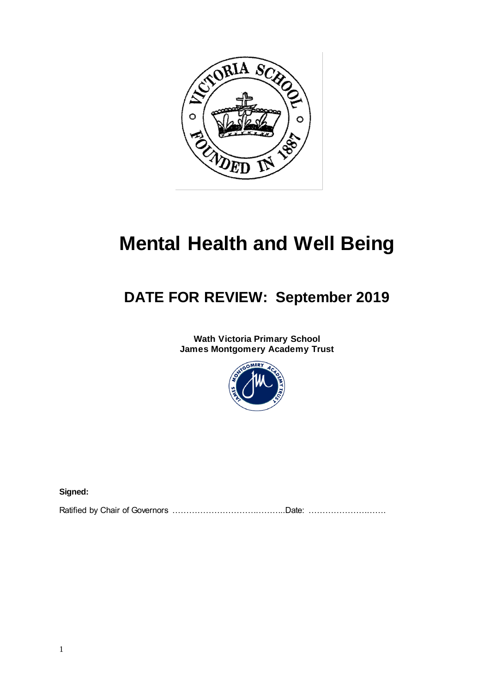

# **Mental Health and Well Being**

# **DATE FOR REVIEW: September 2019**

**Wath Victoria Primary School James Montgomery Academy Trust**



**Signed:**

Ratified by Chair of Governors …………………………………..Date: ……………………….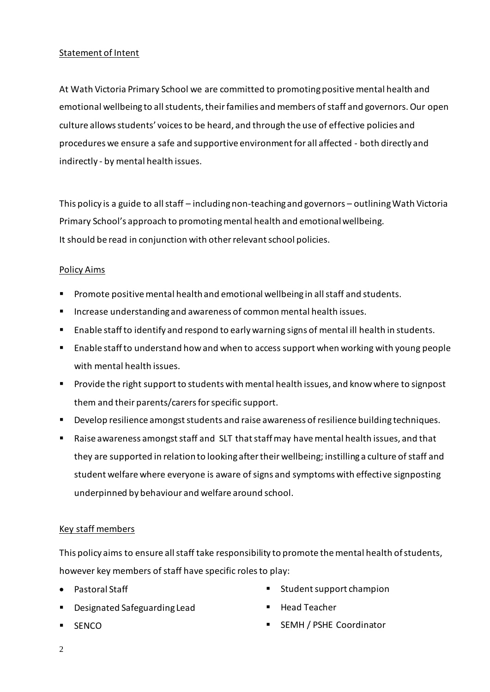# Statement of Intent

At Wath Victoria Primary School we are committed to promoting positive mental health and emotional wellbeing to all students, their families and members of staff and governors. Our open culture allows students' voices to be heard, and through the use of effective policies and procedures we ensure a safe and supportive environment for all affected - both directly and indirectly - by mental health issues.

This policy is a guide to all staff – including non-teaching and governors – outlining Wath Victoria Primary School's approach to promoting mental health and emotional wellbeing. It should be read in conjunction with other relevant school policies.

#### Policy Aims

- **Promote positive mental health and emotional wellbeing in all staff and students.**
- **Increase understanding and awareness of common mental health issues.**
- Enable staff to identify and respond to early warning signs of mental ill health in students.
- **Enable staff to understand how and when to access support when working with young people** with mental health issues.
- Provide the right support to students with mental health issues, and know where to signpost them and their parents/carers for specific support.
- **Develop resilience amongst students and raise awareness of resilience building techniques.**
- Raise awareness amongst staff and SLT that staff may have mental health issues, and that they are supported in relation to looking after their wellbeing; instilling a culture of staff and student welfare where everyone is aware of signs and symptoms with effective signposting underpinned by behaviour and welfare around school.

# Key staff members

This policy aims to ensure all staff take responsibility to promote the mental health of students, however key members of staff have specific roles to play:

- Pastoral Staff
- Designated Safeguarding Lead
- **SENCO**
- **Student support champion**
- Head Teacher
- SEMH / PSHE Coordinator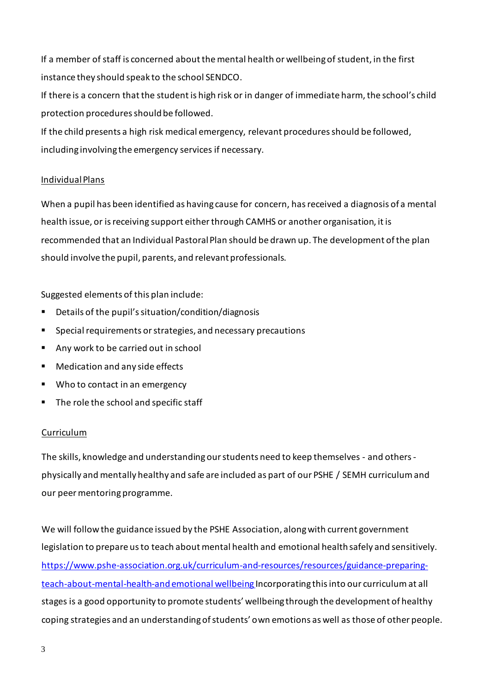If a member of staff is concerned about the mental health or wellbeing of student, in the first instance they should speak to the school SENDCO.

If there is a concern that the student is high risk or in danger of immediate harm, the school's child protection procedures should be followed.

If the child presents a high risk medical emergency, relevant procedures should be followed, including involving the emergency services if necessary.

# Individual Plans

When a pupil has been identified as having cause for concern, has received a diagnosis of a mental health issue, or is receiving support either through CAMHS or another organisation, it is recommended that an Individual Pastoral Plan should be drawn up. The development of the plan should involve the pupil, parents, and relevant professionals.

Suggested elements of this plan include:

- Details of the pupil's situation/condition/diagnosis
- Special requirements or strategies, and necessary precautions
- Any work to be carried out in school
- Medication and any side effects
- Who to contact in an emergency
- The role the school and specific staff

#### Curriculum

The skills, knowledge and understanding our students need to keep themselves - and others physically and mentally healthy and safe are included as part of our PSHE / SEMH curriculum and our peer mentoring programme.

We will follow the guidance issued by the PSHE Association, along with current government legislation to prepare us to teach about mental health and emotional health safely and sensitively. [https://www.pshe-association.org.uk/curriculum-and-resources/resources/guidance-preparing](https://www.pshe-association.org.uk/curriculum-and-resources/resources/guidance-preparing-teach-about-mental-health-and)[teach-about-mental-health-and](https://www.pshe-association.org.uk/curriculum-and-resources/resources/guidance-preparing-teach-about-mental-health-and)emotional wellbeing Incorporating this into our curriculum at all stages is a good opportunity to promote students' wellbeing through the development of healthy coping strategies and an understanding of students' own emotions as well as those of other people.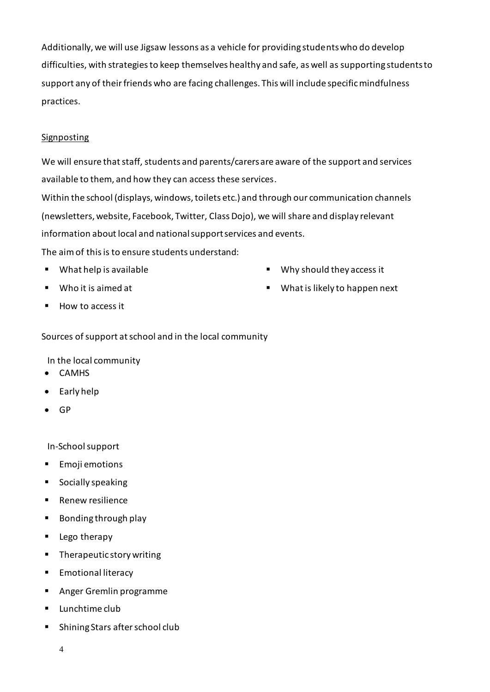Additionally, we will use Jigsaw lessons as a vehicle for providing students who do develop difficulties, with strategies to keep themselves healthy and safe, as well as supporting students to support any of their friends who are facing challenges. This will include specific mindfulness practices.

# Signposting

We will ensure that staff, students and parents/carers are aware of the support and services available to them, and how they can access these services.

Within the school (displays, windows, toilets etc.) and through our communication channels (newsletters, website, Facebook, Twitter, Class Dojo), we will share and display relevant information about local and national support services and events.

The aim of this is to ensure students understand:

- What help is available
- Who it is aimed at
- Why should they access it
- What is likely to happen next

 $How to access it$ 

Sources of support at school and in the local community

In the local community

- CAMHS
- Early help
- GP

In-School support

- **Emoji emotions**
- **Socially speaking**
- Renew resilience
- Bonding through play
- **Lego therapy**
- **Therapeutic story writing**
- **Emotional literacy**
- **Anger Gremlin programme**
- **Lunchtime club**
- Shining Stars after school club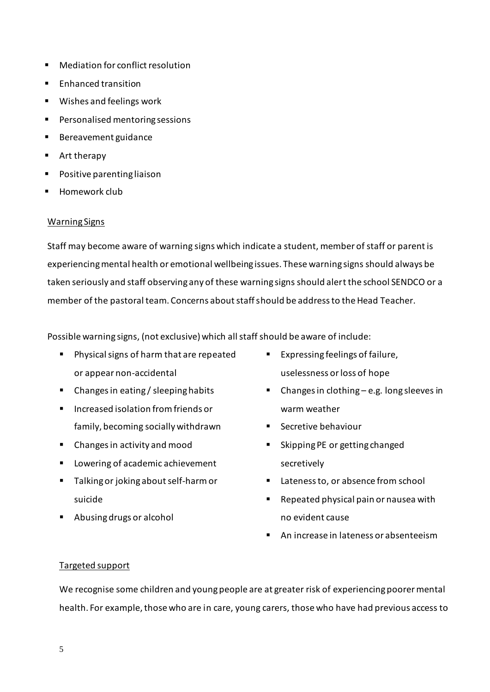- Mediation for conflict resolution
- **Enhanced transition**
- Wishes and feelings work
- **Personalised mentoring sessions**
- **Bereavement guidance**
- Art therapy
- Positive parenting liaison
- **Homework club**

#### Warning Signs

Staff may become aware of warning signs which indicate a student, member of staff or parent is experiencing mental health or emotional wellbeing issues. These warning signs should always be taken seriously and staff observing any of these warning signs should alert the school SENDCO or a member of the pastoral team. Concerns about staff should be address to the Head Teacher.

Possible warning signs, (not exclusive) which all staff should be aware of include:

- **Physical signs of harm that are repeated** or appear non-accidental
- Changes in eating / sleeping habits
- **Increased isolation from friends or** family, becoming socially withdrawn
- Changes in activity and mood
- **Lowering of academic achievement**
- Talking or joking about self-harm or suicide
- Abusing drugs or alcohol
- Expressing feelings of failure, uselessness or loss of hope
- Changes in clothing e.g. long sleeves in warm weather
- **Secretive behaviour**
- Skipping PE or getting changed secretively
- Lateness to, or absence from school
- Repeated physical pain or nausea with no evident cause
- An increase in lateness or absenteeism

#### Targeted support

We recognise some children and young people are at greater risk of experiencing poorer mental health. For example, those who are in care, young carers, those who have had previous access to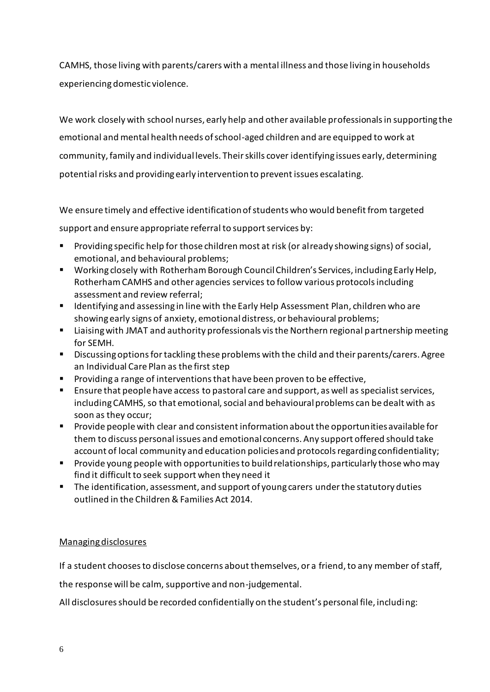CAMHS, those living with parents/carers with a mental illness and those living in households experiencing domestic violence.

We work closely with school nurses, early help and other available professionals in supporting the emotional and mental health needs of school-aged children and are equipped to work at community, family and individual levels. Their skills cover identifying issues early, determining potential risks and providing early intervention to prevent issues escalating.

We ensure timely and effective identification of students who would benefit from targeted

support and ensure appropriate referral to support services by:

- Providing specific help for those children most at risk (or already showing signs) of social, emotional, and behavioural problems;
- Working closely with Rotherham Borough Council Children's Services, including Early Help, Rotherham CAMHS and other agencies services to follow various protocols including assessment and review referral;
- **IDENT IDENT IS A SET 10 IS A SET ASSESS IN A SET UP ASSESS ASSES I**DENTIFY And The are left than the are left and  $\mathbf{a}$  are left and  $\mathbf{a}$  are left and  $\mathbf{a}$  are left and  $\mathbf{a}$  are left and  $\mathbf{a}$  are left a showing early signs of anxiety, emotional distress, or behavioural problems;
- Liaising with JMAT and authority professionals vis the Northern regional partnership meeting for SEMH.
- Discussing options for tackling these problems with the child and their parents/carers. Agree an Individual Care Plan as the first step
- **Providing a range of interventions that have been proven to be effective,**
- Ensure that people have access to pastoral care and support, as well as specialist services, including CAMHS, so that emotional, social and behavioural problems can be dealt with as soon as they occur;
- Provide people with clear and consistent information about the opportunities available for them to discuss personal issues and emotional concerns. Any support offered should take account of local community and education policies and protocols regarding confidentiality;
- Provide young people with opportunities to build relationships, particularly those who may find it difficult to seek support when they need it
- **The identification, assessment, and support of young carers under the statutory duties** outlined in the Children & Families Act 2014.

# Managing disclosures

If a student chooses to disclose concerns about themselves, or a friend, to any member of staff,

the response will be calm, supportive and non-judgemental.

All disclosures should be recorded confidentially on the student's personal file, including: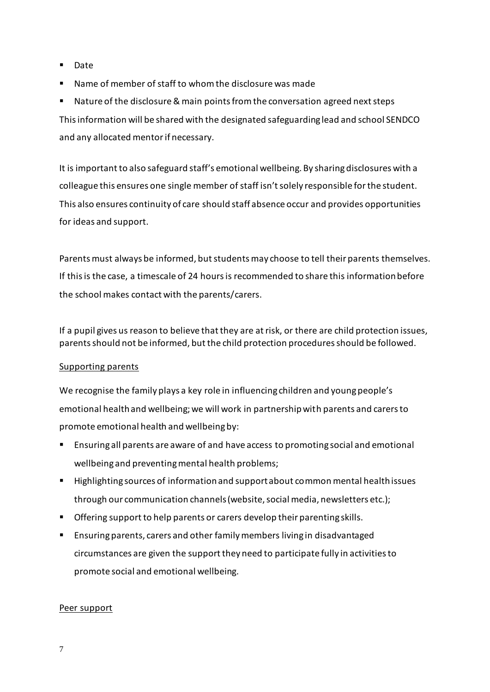- **Date**
- Name of member of staff to whom the disclosure was made

 Nature of the disclosure & main points from the conversation agreed next steps This information will be shared with the designated safeguarding lead and school SENDCO and any allocated mentor if necessary.

It is important to also safeguard staff's emotional wellbeing. By sharing disclosures with a colleague this ensures one single member of staff isn't solely responsible for the student. This also ensures continuity of care should staff absence occur and provides opportunities for ideas and support.

Parents must always be informed, but students may choose to tell their parents themselves. If this is the case, a timescale of 24 hours is recommended to share this information before the school makes contact with the parents/carers.

If a pupil gives us reason to believe that they are at risk, or there are child protection issues, parents should not be informed, but the child protection procedures should be followed.

# Supporting parents

We recognise the family plays a key role in influencing children and young people's emotional health and wellbeing; we will work in partnership with parents and carers to promote emotional health and wellbeing by:

- Ensuring all parents are aware of and have access to promoting social and emotional wellbeing and preventing mental health problems;
- Highlighting sources of information and support about common mental health issues through our communication channels (website, social media, newsletters etc.);
- **Offering support to help parents or carers develop their parenting skills.**
- Ensuring parents, carers and other family members living in disadvantaged circumstances are given the support they need to participate fully in activities to promote social and emotional wellbeing.

#### Peer support